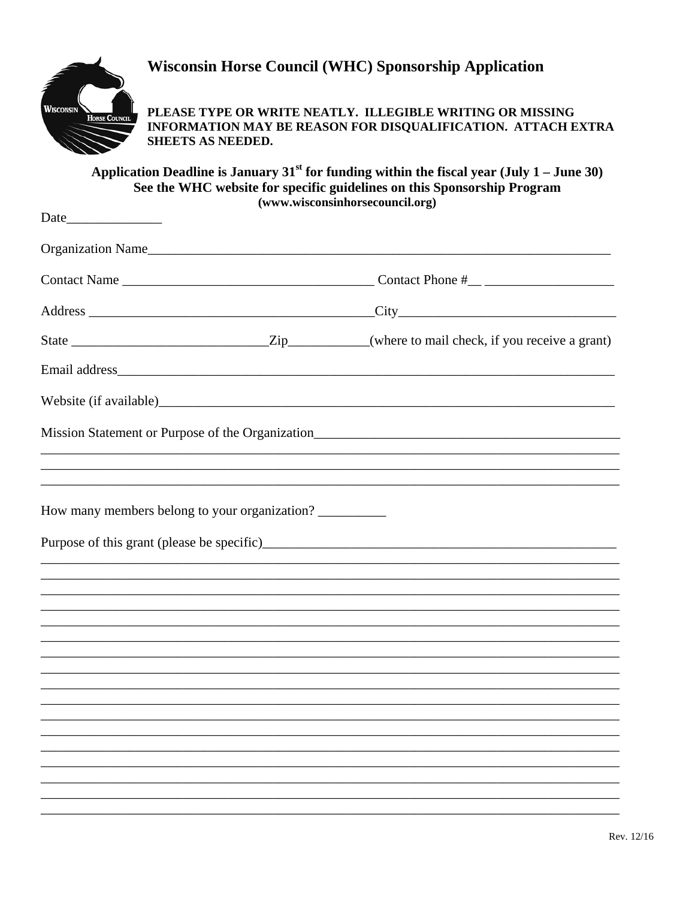

Date\_

## **Wisconsin Horse Council (WHC) Sponsorship Application**

PLEASE TYPE OR WRITE NEATLY. ILLEGIBLE WRITING OR MISSING INFORMATION MAY BE REASON FOR DISQUALIFICATION. ATTACH EXTRA SHEETS AS NEEDED.

Application Deadline is January 31<sup>st</sup> for funding within the fiscal year (July 1 – June 30) See the WHC website for specific guidelines on this Sponsorship Program (www.wisconsinhorsecouncil.org)

| Organization Name                             |                                                                                   |
|-----------------------------------------------|-----------------------------------------------------------------------------------|
|                                               |                                                                                   |
|                                               |                                                                                   |
|                                               |                                                                                   |
| Email address                                 |                                                                                   |
|                                               |                                                                                   |
|                                               | Mission Statement or Purpose of the Organization_________________________________ |
| How many members belong to your organization? |                                                                                   |
|                                               |                                                                                   |
|                                               |                                                                                   |
|                                               |                                                                                   |
|                                               |                                                                                   |
|                                               |                                                                                   |
|                                               |                                                                                   |
|                                               |                                                                                   |
|                                               |                                                                                   |
|                                               |                                                                                   |
|                                               |                                                                                   |
|                                               |                                                                                   |
|                                               |                                                                                   |
|                                               |                                                                                   |
|                                               |                                                                                   |